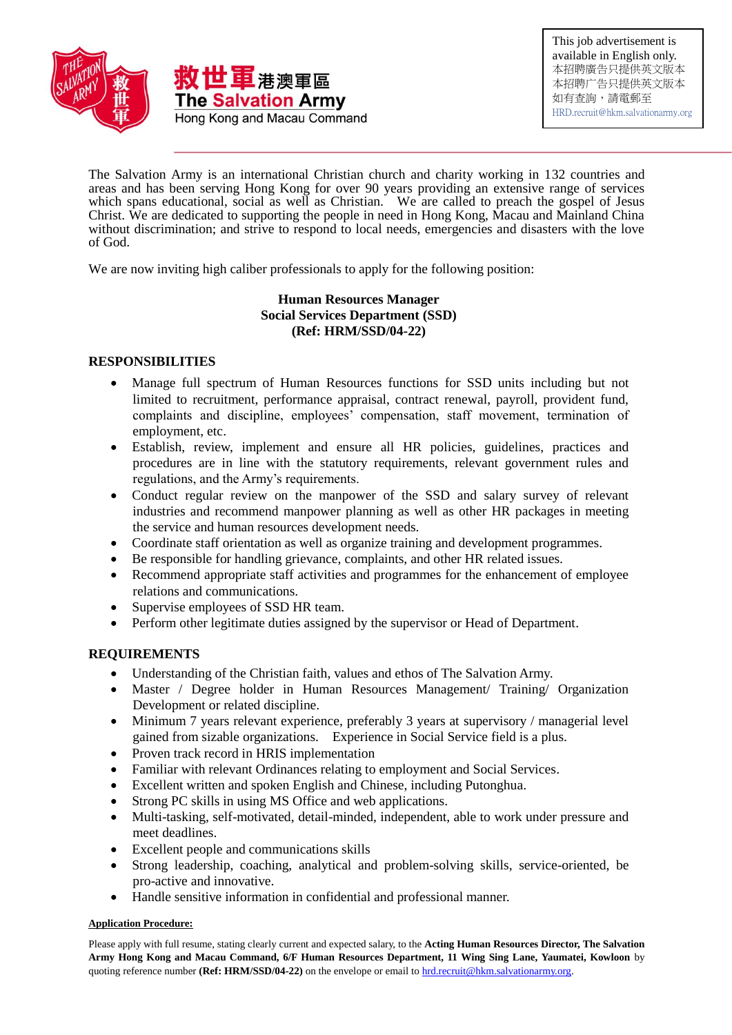

This job advertisement is available in English only. 本招聘廣告只提供英文版本 本招聘广告只提供英文版本 如有查詢,請電郵至 [HRD.recruit@hkm.salvationarmy.org](mailto:HRD.recruit@hkm.salvationarmy.org) 

The Salvation Army is an international Christian church and charity working in 132 countries and areas and has been serving Hong Kong for over 90 years providing an extensive range of services which spans educational, social as well as Christian. We are called to preach the gospel of Jesus Christ. We are dedicated to supporting the people in need in Hong Kong, Macau and Mainland China without discrimination; and strive to respond to local needs, emergencies and disasters with the love of God.

We are now inviting high caliber professionals to apply for the following position:

# **Human Resources Manager Social Services Department (SSD) (Ref: HRM/SSD/04-22)**

# **RESPONSIBILITIES**

- Manage full spectrum of Human Resources functions for SSD units including but not limited to recruitment, performance appraisal, contract renewal, payroll, provident fund, complaints and discipline, employees' compensation, staff movement, termination of employment, etc.
- Establish, review, implement and ensure all HR policies, guidelines, practices and procedures are in line with the statutory requirements, relevant government rules and regulations, and the Army's requirements.
- Conduct regular review on the manpower of the SSD and salary survey of relevant industries and recommend manpower planning as well as other HR packages in meeting the service and human resources development needs.
- Coordinate staff orientation as well as organize training and development programmes.
- Be responsible for handling grievance, complaints, and other HR related issues.
- Recommend appropriate staff activities and programmes for the enhancement of employee relations and communications.
- Supervise employees of SSD HR team.
- Perform other legitimate duties assigned by the supervisor or Head of Department.

## **REQUIREMENTS**

- Understanding of the Christian faith, values and ethos of The Salvation Army.
- Master / Degree holder in Human Resources Management/ Training/ Organization Development or related discipline.
- Minimum 7 years relevant experience, preferably 3 years at supervisory / managerial level gained from sizable organizations. Experience in Social Service field is a plus.
- Proven track record in HRIS implementation
- Familiar with relevant Ordinances relating to employment and Social Services.
- Excellent written and spoken English and Chinese, including Putonghua.
- Strong PC skills in using MS Office and web applications.
- Multi-tasking, self-motivated, detail-minded, independent, able to work under pressure and meet deadlines.
- Excellent people and communications skills
- Strong leadership, coaching, analytical and problem-solving skills, service-oriented, be pro-active and innovative.
- Handle sensitive information in confidential and professional manner.

## **Application Procedure:**

Please apply with full resume, stating clearly current and expected salary, to the **Acting Human Resources Director, The Salvation Army Hong Kong and Macau Command, 6/F Human Resources Department, 11 Wing Sing Lane, Yaumatei, Kowloon** by quoting reference number **(Ref: HRM/SSD/04-22)** on the envelope or email t[o hrd.recruit@hkm.salvationarmy.org.](mailto:hrd.recruit@hkm.salvationarmy.org)